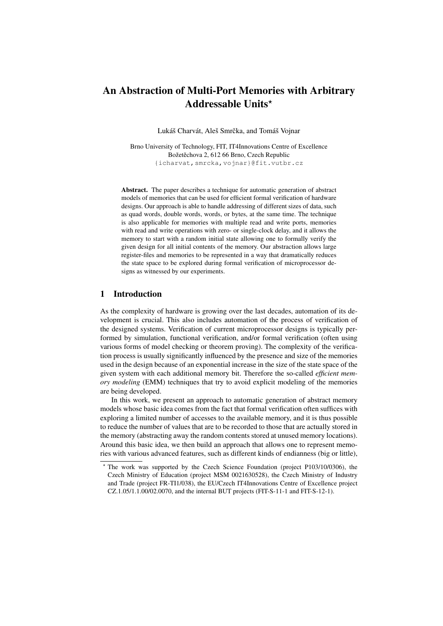# An Abstraction of Multi-Port Memories with Arbitrary Addressable Units $\star$

Lukáš Charvát, Aleš Smrčka, and Tomáš Vojnar

Brno University of Technology, FIT, IT4Innovations Centre of Excellence Božetěchova 2, 612 66 Brno, Czech Republic {icharvat,smrcka,vojnar}@fit.vutbr.cz

Abstract. The paper describes a technique for automatic generation of abstract models of memories that can be used for efficient formal verification of hardware designs. Our approach is able to handle addressing of different sizes of data, such as quad words, double words, words, or bytes, at the same time. The technique is also applicable for memories with multiple read and write ports, memories with read and write operations with zero- or single-clock delay, and it allows the memory to start with a random initial state allowing one to formally verify the given design for all initial contents of the memory. Our abstraction allows large register-files and memories to be represented in a way that dramatically reduces the state space to be explored during formal verification of microprocessor designs as witnessed by our experiments.

# 1 Introduction

As the complexity of hardware is growing over the last decades, automation of its development is crucial. This also includes automation of the process of verification of the designed systems. Verification of current microprocessor designs is typically performed by simulation, functional verification, and/or formal verification (often using various forms of model checking or theorem proving). The complexity of the verification process is usually significantly influenced by the presence and size of the memories used in the design because of an exponential increase in the size of the state space of the given system with each additional memory bit. Therefore the so-called *efficient memory modeling* (EMM) techniques that try to avoid explicit modeling of the memories are being developed.

In this work, we present an approach to automatic generation of abstract memory models whose basic idea comes from the fact that formal verification often suffices with exploring a limited number of accesses to the available memory, and it is thus possible to reduce the number of values that are to be recorded to those that are actually stored in the memory (abstracting away the random contents stored at unused memory locations). Around this basic idea, we then build an approach that allows one to represent memories with various advanced features, such as different kinds of endianness (big or little),

<sup>?</sup> The work was supported by the Czech Science Foundation (project P103/10/0306), the Czech Ministry of Education (project MSM 0021630528), the Czech Ministry of Industry and Trade (project FR-TI1/038), the EU/Czech IT4Innovations Centre of Excellence project CZ.1.05/1.1.00/02.0070, and the internal BUT projects (FIT-S-11-1 and FIT-S-12-1).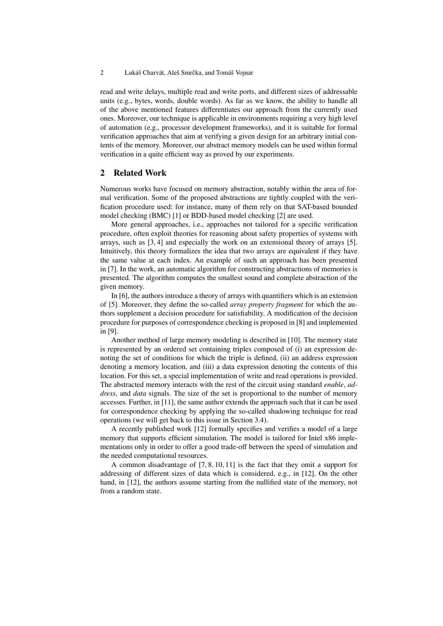read and write delays, multiple read and write ports, and different sizes of addressable units (e.g., bytes, words, double words). As far as we know, the ability to handle all of the above mentioned features differentiates our approach from the currently used ones. Moreover, our technique is applicable in environments requiring a very high level of automation (e.g., processor development frameworks), and it is suitable for formal verification approaches that aim at verifying a given design for an arbitrary initial contents of the memory. Moreover, our abstract memory models can be used within formal verification in a quite efficient way as proved by our experiments.

## 2 Related Work

Numerous works have focused on memory abstraction, notably within the area of formal verification. Some of the proposed abstractions are tightly coupled with the verification procedure used: for instance, many of them rely on that SAT-based bounded model checking (BMC) [1] or BDD-based model checking [2] are used.

More general approaches, i.e., approaches not tailored for a specific verification procedure, often exploit theories for reasoning about safety properties of systems with arrays, such as [3, 4] and especially the work on an extensional theory of arrays [5]. Intuitively, this theory formalizes the idea that two arrays are equivalent if they have the same value at each index. An example of such an approach has been presented in [7]. In the work, an automatic algorithm for constructing abstractions of memories is presented. The algorithm computes the smallest sound and complete abstraction of the given memory.

In [6], the authors introduce a theory of arrays with quantifiers which is an extension of [5]. Moreover, they define the so-called *array property fragment* for which the authors supplement a decision procedure for satisfiability. A modification of the decision procedure for purposes of correspondence checking is proposed in [8] and implemented in [9].

Another method of large memory modeling is described in [10]. The memory state is represented by an ordered set containing triples composed of (i) an expression denoting the set of conditions for which the triple is defined, (ii) an address expression denoting a memory location, and (iii) a data expression denoting the contents of this location. For this set, a special implementation of write and read operations is provided. The abstracted memory interacts with the rest of the circuit using standard *enable*, *address*, and *data* signals. The size of the set is proportional to the number of memory accesses. Further, in [11], the same author extends the approach such that it can be used for correspondence checking by applying the so-called shadowing technique for read operations (we will get back to this issue in Section 3.4).

A recently published work [12] formally specifies and verifies a model of a large memory that supports efficient simulation. The model is tailored for Intel x86 implementations only in order to offer a good trade-off between the speed of simulation and the needed computational resources.

A common disadvantage of [7, 8, 10, 11] is the fact that they omit a support for addressing of different sizes of data which is considered, e.g., in [12]. On the other hand, in [12], the authors assume starting from the nullified state of the memory, not from a random state.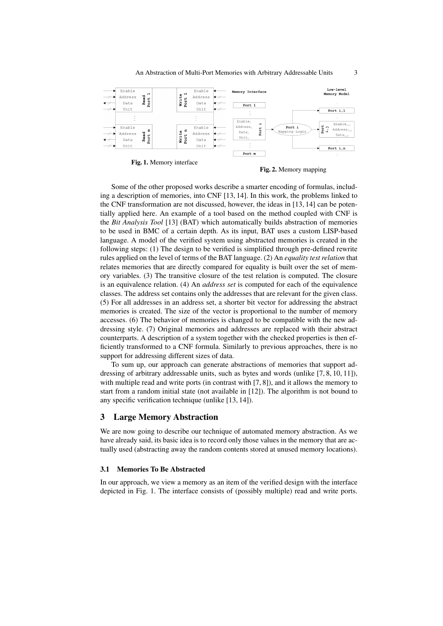

Fig. 1. Memory interface

Fig. 2. Memory mapping

Some of the other proposed works describe a smarter encoding of formulas, including a description of memories, into CNF [13, 14]. In this work, the problems linked to the CNF transformation are not discussed, however, the ideas in [13, 14] can be potentially applied here. An example of a tool based on the method coupled with CNF is the *Bit Analysis Tool* [13] (BAT) which automatically builds abstraction of memories to be used in BMC of a certain depth. As its input, BAT uses a custom LISP-based language. A model of the verified system using abstracted memories is created in the following steps: (1) The design to be verified is simplified through pre-defined rewrite rules applied on the level of terms of the BAT language. (2) An *equality test relation* that relates memories that are directly compared for equality is built over the set of memory variables. (3) The transitive closure of the test relation is computed. The closure is an equivalence relation. (4) An *address set* is computed for each of the equivalence classes. The address set contains only the addresses that are relevant for the given class. (5) For all addresses in an address set, a shorter bit vector for addressing the abstract memories is created. The size of the vector is proportional to the number of memory accesses. (6) The behavior of memories is changed to be compatible with the new addressing style. (7) Original memories and addresses are replaced with their abstract counterparts. A description of a system together with the checked properties is then efficiently transformed to a CNF formula. Similarly to previous approaches, there is no support for addressing different sizes of data.

To sum up, our approach can generate abstractions of memories that support addressing of arbitrary addressable units, such as bytes and words (unlike [7, 8, 10, 11]), with multiple read and write ports (in contrast with [7, 8]), and it allows the memory to start from a random initial state (not available in [12]). The algorithm is not bound to any specific verification technique (unlike [13, 14]).

# 3 Large Memory Abstraction

We are now going to describe our technique of automated memory abstraction. As we have already said, its basic idea is to record only those values in the memory that are actually used (abstracting away the random contents stored at unused memory locations).

#### 3.1 Memories To Be Abstracted

In our approach, we view a memory as an item of the verified design with the interface depicted in Fig. 1. The interface consists of (possibly multiple) read and write ports.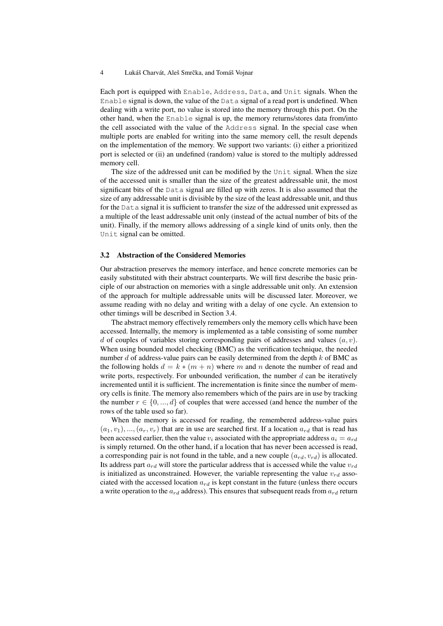Each port is equipped with Enable, Address, Data, and Unit signals. When the Enable signal is down, the value of the Data signal of a read port is undefined. When dealing with a write port, no value is stored into the memory through this port. On the other hand, when the Enable signal is up, the memory returns/stores data from/into the cell associated with the value of the Address signal. In the special case when multiple ports are enabled for writing into the same memory cell, the result depends on the implementation of the memory. We support two variants: (i) either a prioritized port is selected or (ii) an undefined (random) value is stored to the multiply addressed memory cell.

The size of the addressed unit can be modified by the Unit signal. When the size of the accessed unit is smaller than the size of the greatest addressable unit, the most significant bits of the Data signal are filled up with zeros. It is also assumed that the size of any addressable unit is divisible by the size of the least addressable unit, and thus for the Data signal it is sufficient to transfer the size of the addressed unit expressed as a multiple of the least addressable unit only (instead of the actual number of bits of the unit). Finally, if the memory allows addressing of a single kind of units only, then the Unit signal can be omitted.

## 3.2 Abstraction of the Considered Memories

Our abstraction preserves the memory interface, and hence concrete memories can be easily substituted with their abstract counterparts. We will first describe the basic principle of our abstraction on memories with a single addressable unit only. An extension of the approach for multiple addressable units will be discussed later. Moreover, we assume reading with no delay and writing with a delay of one cycle. An extension to other timings will be described in Section 3.4.

The abstract memory effectively remembers only the memory cells which have been accessed. Internally, the memory is implemented as a table consisting of some number d of couples of variables storing corresponding pairs of addresses and values  $(a, v)$ . When using bounded model checking (BMC) as the verification technique, the needed number d of address-value pairs can be easily determined from the depth  $k$  of BMC as the following holds  $d = k * (m + n)$  where m and n denote the number of read and write ports, respectively. For unbounded verification, the number  $d$  can be iteratively incremented until it is sufficient. The incrementation is finite since the number of memory cells is finite. The memory also remembers which of the pairs are in use by tracking the number  $r \in \{0, ..., d\}$  of couples that were accessed (and hence the number of the rows of the table used so far).

When the memory is accessed for reading, the remembered address-value pairs  $(a_1, v_1), ..., (a_r, v_r)$  that are in use are searched first. If a location  $a_{rd}$  that is read has been accessed earlier, then the value  $v_i$  associated with the appropriate address  $a_i = a_{rd}$ is simply returned. On the other hand, if a location that has never been accessed is read, a corresponding pair is not found in the table, and a new couple  $(a_{rd}, v_{rd})$  is allocated. Its address part  $a_{rd}$  will store the particular address that is accessed while the value  $v_{rd}$ is initialized as unconstrained. However, the variable representing the value  $v_{rd}$  associated with the accessed location  $a_{rd}$  is kept constant in the future (unless there occurs a write operation to the  $a_{rd}$  address). This ensures that subsequent reads from  $a_{rd}$  return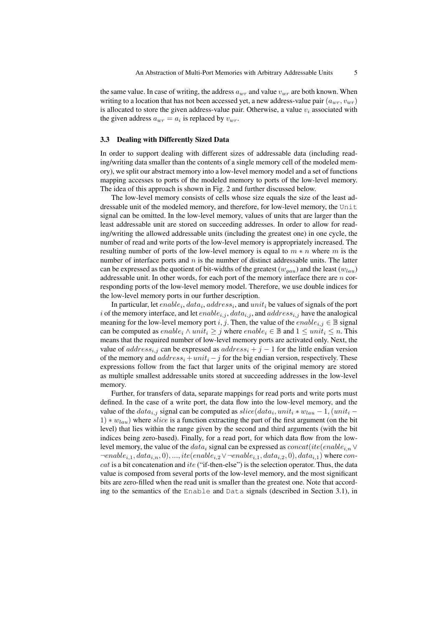the same value. In case of writing, the address  $a_{wr}$  and value  $v_{wr}$  are both known. When writing to a location that has not been accessed yet, a new address-value pair  $(a_{wr}, v_{wr})$ is allocated to store the given address-value pair. Otherwise, a value  $v_i$  associated with the given address  $a_{wr} = a_i$  is replaced by  $v_{wr}$ .

## 3.3 Dealing with Differently Sized Data

In order to support dealing with different sizes of addressable data (including reading/writing data smaller than the contents of a single memory cell of the modeled memory), we split our abstract memory into a low-level memory model and a set of functions mapping accesses to ports of the modeled memory to ports of the low-level memory. The idea of this approach is shown in Fig. 2 and further discussed below.

The low-level memory consists of cells whose size equals the size of the least addressable unit of the modeled memory, and therefore, for low-level memory, the Unit signal can be omitted. In the low-level memory, values of units that are larger than the least addressable unit are stored on succeeding addresses. In order to allow for reading/writing the allowed addressable units (including the greatest one) in one cycle, the number of read and write ports of the low-level memory is appropriately increased. The resulting number of ports of the low-level memory is equal to  $m * n$  where m is the number of interface ports and  $n$  is the number of distinct addressable units. The latter can be expressed as the quotient of bit-widths of the greatest ( $w_{gau}$ ) and the least ( $w_{lau}$ ) addressable unit. In other words, for each port of the memory interface there are  $n$  corresponding ports of the low-level memory model. Therefore, we use double indices for the low-level memory ports in our further description.

In particular, let  $enable_i$ ,  $data_i$ ,  $address_i$ , and  $unit_i$  be values of signals of the port i of the memory interface, and let  $enable_{i,j}$ ,  $data_{i,j}$ , and  $address_{i,j}$  have the analogical meaning for the low-level memory port i, j. Then, the value of the  $enable_{i,j} \in \mathbb{B}$  signal can be computed as  $enable_i \wedge unit_i \geq j$  where  $enable_i \in \mathbb{B}$  and  $1 \leq unit_i \leq n$ . This means that the required number of low-level memory ports are activated only. Next, the value of address<sub>i,j</sub> can be expressed as address<sub>i</sub> + j – 1 for the little endian version of the memory and  $address_i +unit_i -j$  for the big endian version, respectively. These expressions follow from the fact that larger units of the original memory are stored as multiple smallest addressable units stored at succeeding addresses in the low-level memory.

Further, for transfers of data, separate mappings for read ports and write ports must defined. In the case of a write port, the data flow into the low-level memory, and the value of the  $data_{i,j}$  signal can be computed as  $slice(data_i, unit_i * w_{lau} - 1, (unit_i 1) * w<sub>lau</sub>$ ) where *slice* is a function extracting the part of the first argument (on the bit level) that lies within the range given by the second and third arguments (with the bit indices being zero-based). Finally, for a read port, for which data flow from the lowlevel memory, the value of the  $data_i$  signal can be expressed as  $concat(ite(enable_{i,n} \vee$  $\neg enable_{i,1}, data_{i,n}, 0), ..., it (enable_{i,2} \lor \neg enable_{i,1}, data_{i,2}, 0), data_{i,1})$  where con $cat$  is a bit concatenation and ite ("if-then-else") is the selection operator. Thus, the data value is composed from several ports of the low-level memory, and the most significant bits are zero-filled when the read unit is smaller than the greatest one. Note that according to the semantics of the Enable and Data signals (described in Section 3.1), in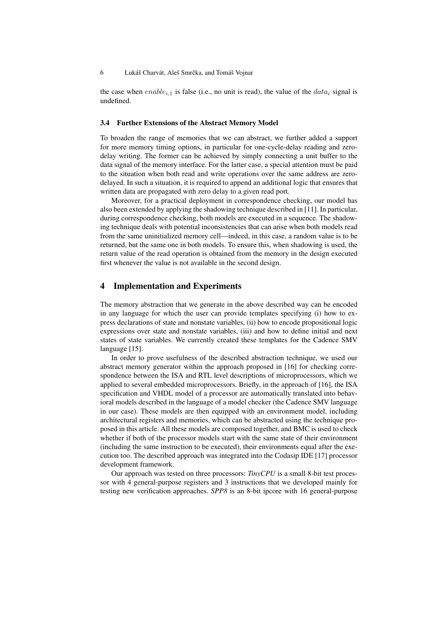the case when  $enable_{i,1}$  is false (i.e., no unit is read), the value of the  $data_i$  signal is undefined.

## 3.4 Further Extensions of the Abstract Memory Model

To broaden the range of memories that we can abstract, we further added a support for more memory timing options, in particular for one-cycle-delay reading and zerodelay writing. The former can be achieved by simply connecting a unit buffer to the data signal of the memory interface. For the latter case, a special attention must be paid to the situation when both read and write operations over the same address are zerodelayed. In such a situation, it is required to append an additional logic that ensures that written data are propagated with zero delay to a given read port.

Moreover, for a practical deployment in correspondence checking, our model has also been extended by applying the shadowing technique described in [11]. In particular, during correspondence checking, both models are executed in a sequence. The shadowing technique deals with potential inconsistencies that can arise when both models read from the same uninitialized memory cell—indeed, in this case, a random value is to be returned, but the same one in both models. To ensure this, when shadowing is used, the return value of the read operation is obtained from the memory in the design executed first whenever the value is not available in the second design.

# 4 Implementation and Experiments

The memory abstraction that we generate in the above described way can be encoded in any language for which the user can provide templates specifying (i) how to express declarations of state and nonstate variables, (ii) how to encode propositional logic expressions over state and nonstate variables, (iii) and how to define initial and next states of state variables. We currently created these templates for the Cadence SMV language [15].

In order to prove usefulness of the described abstraction technique, we used our abstract memory generator within the approach proposed in [16] for checking correspondence between the ISA and RTL level descriptions of microprocessors, which we applied to several embedded microprocessors. Briefly, in the approach of [16], the ISA specification and VHDL model of a processor are automatically translated into behavioral models described in the language of a model checker (the Cadence SMV language in our case). These models are then equipped with an environment model, including architectural registers and memories, which can be abstracted using the technique proposed in this article. All these models are composed together, and BMC is used to check whether if both of the processor models start with the same state of their environment (including the same instruction to be executed), their environments equal after the execution too. The described approach was integrated into the Codasip IDE [17] processor development framework.

Our approach was tested on three processors: *TinyCPU* is a small 8-bit test processor with 4 general-purpose registers and 3 instructions that we developed mainly for testing new verification approaches. *SPP8* is an 8-bit ipcore with 16 general-purpose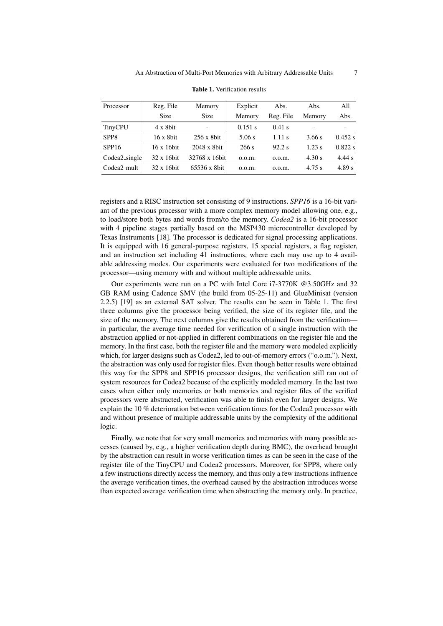| Processor         | Reg. File          | Memory                   | Explicit  | Abs.      | Abs.   | All       |
|-------------------|--------------------|--------------------------|-----------|-----------|--------|-----------|
|                   | Size               | <b>Size</b>              | Memory    | Reg. File | Memory | Abs.      |
| TinyCPU           | $4 \times 8$ bit   | $\overline{\phantom{0}}$ | $0.151$ s | $0.41$ s  | -      |           |
| SPP <sub>8</sub>  | $16 \times 8$ hit  | $256 \times 8$ bit       | $5.06$ s  | 1.11 s    | 3.66 s | $0.452$ s |
| SPP <sub>16</sub> | $16 \times 16$ bit | $2048 \times 8$ hit      | 266 s     | 92.2 s    | 1.23 s | 0.822 s   |
| Codea2_single     | $32 \times 16$ bit | 32768 x 16bit            | 0.0.m.    | 0.0.m.    | 4.30 s | 4.44 s    |
| $Codea2$ -mult    | $32 \times 16$ bit | 65536 x 8bit             | 0.0.m.    | 0.0.m.    | 4.75 s | 4.89 s    |

Table 1. Verification results

registers and a RISC instruction set consisting of 9 instructions. *SPP16* is a 16-bit variant of the previous processor with a more complex memory model allowing one, e.g., to load/store both bytes and words from/to the memory. *Codea2* is a 16-bit processor with 4 pipeline stages partially based on the MSP430 microcontroller developed by Texas Instruments [18]. The processor is dedicated for signal processing applications. It is equipped with 16 general-purpose registers, 15 special registers, a flag register, and an instruction set including 41 instructions, where each may use up to 4 available addressing modes. Our experiments were evaluated for two modifications of the processor—using memory with and without multiple addressable units.

Our experiments were run on a PC with Intel Core i7-3770K @3.50GHz and 32 GB RAM using Cadence SMV (the build from 05-25-11) and GlueMinisat (version 2.2.5) [19] as an external SAT solver. The results can be seen in Table 1. The first three columns give the processor being verified, the size of its register file, and the size of the memory. The next columns give the results obtained from the verification in particular, the average time needed for verification of a single instruction with the abstraction applied or not-applied in different combinations on the register file and the memory. In the first case, both the register file and the memory were modeled explicitly which, for larger designs such as Codea2, led to out-of-memory errors ("o.o.m."). Next, the abstraction was only used for register files. Even though better results were obtained this way for the SPP8 and SPP16 processor designs, the verification still ran out of system resources for Codea2 because of the explicitly modeled memory. In the last two cases when either only memories or both memories and register files of the verified processors were abstracted, verification was able to finish even for larger designs. We explain the 10 % deterioration between verification times for the Codea2 processor with and without presence of multiple addressable units by the complexity of the additional logic.

Finally, we note that for very small memories and memories with many possible accesses (caused by, e.g., a higher verification depth during BMC), the overhead brought by the abstraction can result in worse verification times as can be seen in the case of the register file of the TinyCPU and Codea2 processors. Moreover, for SPP8, where only a few instructions directly access the memory, and thus only a few instructions influence the average verification times, the overhead caused by the abstraction introduces worse than expected average verification time when abstracting the memory only. In practice,